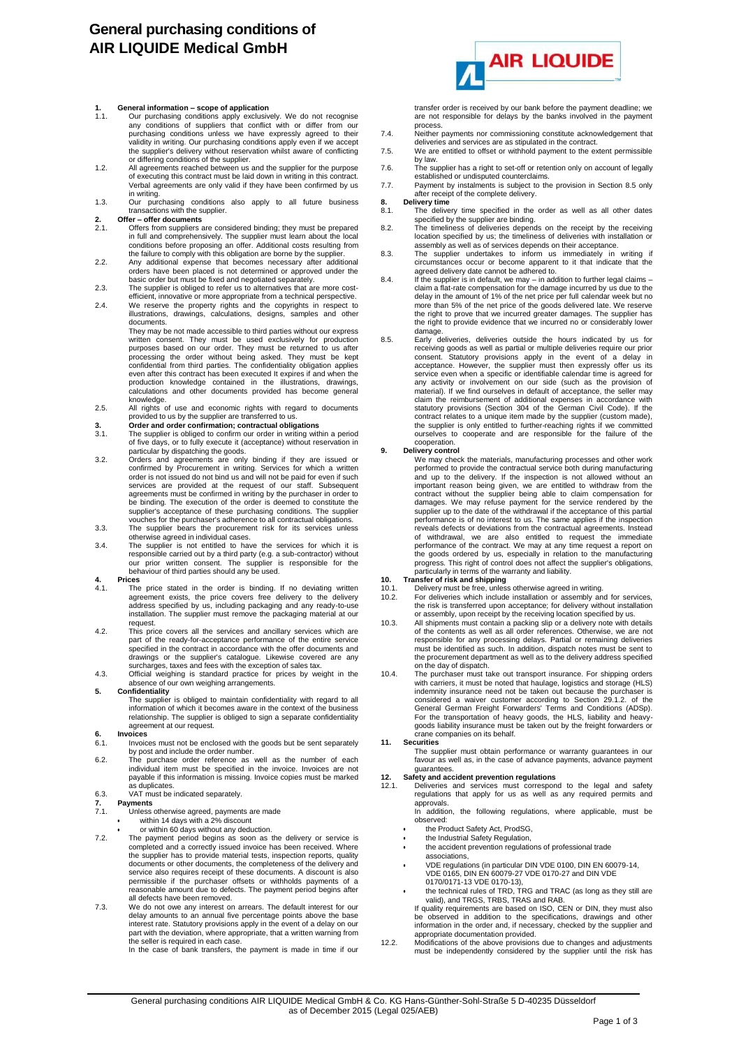# **General purchasing conditions of AIR LIQUIDE Medical GmbH**

## **1. General information – scope of application**

- 1.1. Our purchasing conditions apply exclusively. We do not recognise any conditions of suppliers that conflict with or differ from our purchasing conditions unless we have expressly agreed to their validity in writing. Our purchasing conditions apply even if we accept the supplier's delivery without reservation whilst aware of conflicting
- or differing conditions of the supplier. 1.2. All agreements reached between us and the supplier for the purpose of executing this contract must be laid down in writing in this contract. Verbal agreements are only valid if they have been confirmed by us
- in writing. 1.3. Our purchasing conditions also apply to all future business transactions with the supplier.

- **2. Offer – offer documents** 2.1. Offers from suppliers are considered binding; they must be prepared in full and comprehensively. The supplier must learn about the local<br>conditions before proposing an offer. Additional costs resulting from<br>the failure to comply with this obligation are borne by the supplier.<br>2.2. Any addi
- orders have been placed is not determined or approved under the basic order but must be fixed and negotiated separately.
- 2.3. The supplier is obliged to refer us to alternatives that are more cost-efficient, innovative or more appropriate from a technical perspective.
- 2.4. We reserve the property rights and the copyrights in respect to illustrations, drawings, calculations, designs, samples and other documents.

They may be not made accessible to third parties without our express written consent. They must be used exclusively for production purposes based on our order. They must be returned to us after processing the order without being asked. They must be kept<br>confidential from third parties. The confidentiality obligation applies<br>even after this contract has been executed It expires if and when the production knowledge contained in the illustrations, drawings, calculations and other documents provided has become general

- knowledge.<br>2.5. All rights of use and economic rights with regard to documents<br>provided to us by the supplier are transferred to us.<br>3. **Order and order confirmation; contractual obligations**<br>3.1. The supplier is obliged t
- 
- of five days, or to fully execute it (acceptance) without reservation in
- particular by dispatching the goods.<br>3.2. Orders and agreements are only binding if they are issued or<br>confirmed by Procurement in writing. Services for which a written<br>order is not issued do not bind us and will not be pa agreements must be confirmed in writing by the purchaser in order to be binding. The execution of the order is deemed to constitute the supplier's acceptance of these purchasing conditions. The supplier vouches for the purchaser's adherence to all contractual obligations.
- 3.3. The supplier bears the procurement risk for its services unless otherwise agreed in individual cases. 3.4. The supplier is not entitled to have the services for which it is
- responsible carried out by a third party (e.g. a sub-contractor) without our prior written consent. The supplier is responsible for the behaviour of third parties should any be used.

## **4. Prices**

- 4.1. The price stated in the order is binding. If no deviating written agreement exists, the price covers free delivery to the delivery address specified by us, including packaging and any ready-to-use installation. The supplier must remove the packaging material at our request
- 4.2. This price covers all the services and ancillary services which are part of the ready-for-acceptance performance of the entire service specified in the contract in accordance with the offer documents and drawings or the supplier's catalogue. Likewise covered are any surcharges, taxes and fees with the exception of sales tax. 4.3. Official weighing is standard practice for prices by weight in the
- absence of our own weighing arrangements

### **5. Confidentiality**

The supplier is obliged to maintain confidentiality with regard to all information of which it becomes aware in the context of the business relationship. The supplier is obliged to sign a separate confidentiality agreement at our request.

# **6. Invoices**

- Invoices must not be enclosed with the goods but be sent separately
- by post and include the order number. 6.2. The purchase order reference as well as the number of each individual item must be specified in the invoice. Invoices are not payable if this information is missing. Invoice copies must be marked as duplicates 6.3. VAT must be indicated separately.

- **7. Payments** 7.1. Unless otherwise agreed, payments are made
- within 14 days with a 2% discount
	-
- or within 60 days without any deduction.<br>T.2. The payment period begins as soom as the delivery or service is<br>completed and a correctly issued invoice has been received. Where<br>the supplier has to provide material tests, documents or other documents, the completeness of the delivery and service also requires receipt of these documents. A discount is also permissible if the purchaser offsets or withholds payments of a reasonable amount due to defects. The payment period begins after all defects have been removed.
- 7.3. We do not owe any interest on arrears. The default interest for our delay amounts to an annual five percentage points above the base<br>interest rate. Statutory provisions apply in the event of a delay on our<br>part with the deviation, where appropriate, that a written warning from<br>the seller i



transfer order is received by our bank before the payment deadline; we are not responsible for delays by the banks involved in the payment

- process. 7.4. Neither payments nor commissioning constitute acknowledgement that deliveries and services are as stipulated in the contract.
- 7.5. We are entitled to offset or withhold payment to the extent permissible by law.
- 7.6. The supplier has a right to set-off or retention only on account of legally established or undisputed counterclaims. 7.7. Payment by instalments is subject to the provision in Section 8.5 only
- after receipt of the complete delivery. **8. Delivery time**
- 8. Delivery time<br>8.1. The delivery time specified in the order as well as all other dates
- specified by the supplier are binding. 8.2. The timeliness of deliveries depends on the receipt by the receiving location specified by us; the timeliness of deliveries with installation or assembly as well as of services depends on their acceptance.
- 8.3. The supplier undertakes to inform us immediately in writing if circumstances occur or become apparent to it that indicate that the
- agreed delivery date cannot be adhered to.<br>8.4. If the supplier is in default, we may in addition to further legal claims –<br>claim a flat-rate compensation for the damage incurred by us due to the<br>delay in the amount of 1 more than 5% of the net price of the goods delivered late. We reserve the right to prove that we incurred greater damages. The supplier has the right to provide evidence that we incurred no or considerably lower
- damage. 8.5. Early deliveries, deliveries outside the hours indicated by us for receiving goods as well as partial or multiple deliveries require our prior consent. Statutory provisions apply in the event of a delay in acceptance. However, the supplier must then expressly offer us its service even when a specific or identifiable calendar time is agreed for any activity or involvement on our side (such as the provision of material). If we find ourselves in default of acceptance, the seller may claim the reimbursement of additional expenses in accordance with statutory provisions (Section 304 of the German Civil Code). If the contract relates to a unique item made by the supplier (custom made), the supplier is only entitled to further-reaching rights if we committed ourselves to cooperate and are responsible for the failure of the cooperation.

**9. Delivery control**<br>We may check the materials, manufacturing processes and other work<br>performed to provide the contractual service both during manufacturing and up to the delivery. If the inspection is not allowed without an important reason being given, we are entitled to withdraw from the contract without the supplier being able to claim compensation for damages. We may refuse payment for the service rendered by the supplier up to the date of the withdrawal if the acceptance of this partial performance is of no interest to us. The same applies if the inspection reveals defects or deviations from the contractual agreements. Instead<br>of withdrawal, we are also entitled to request the immediate<br>performance of the contract. We may at any time request a report on<br>the goods ordered by u

## particularly in terms of the warranty and liability. **10. Transfer of risk and shipping**

- 
- 10.1. Delivery must be free, unless otherwise agreed in writing. 10.2. For deliveries which include installation or assembly and for services, the risk is transferred upon acceptance; for delivery without installation or assembly, upon receipt by the receiving location specified by us.
- 10.3. All shipments must contain a packing slip or a delivery note with details<br>of the contents as well as all order references. Otherwise, we are not<br>responsible for any processing delays. Partial or remaining deliveries<br> the procurement department as well as to the delivery address specified
- on the day of dispatch. 10.4. The purchaser must take out transport insurance. For shipping orders with carriers, it must be noted that haulage, logistics and storage (HLS) indemnity insurance need not be taken out because the purchaser is considered a waiver customer according to Section 29.1.2. of the<br>General German Freight Forwarders' Terms and Conditions (ADSp).<br>For the transportation of heavy goods, the HLS, liability and heavy-<br>goods liability insuranc crane companies on its behalf. **11. Securities**

The supplier must obtain performance or warranty guarantees in our favour as well as, in the case of advance payments, advance payment guarantees.

## **12. Safety and accident prevention regulations**

- Deliveries and services must correspond to the legal and safety regulations that apply for us as well as any required permits and approvals.
	- In addition, the following regulations, where applicable, must be observed:
	- the Product Safety Act, ProdSG, the Industrial Safety Regulation,
	- the accident prevention regulations of professional trade
	- associations,
	- VDE regulations (in particular DIN VDE 0100, DIN EN 60079-14, VDE 0165, DIN EN 60079-27 VDE 0170-27 and DIN VDE 0170/0171-13 VDE 0170-13),
	- the technical rules of TRD, TRG and TRAC (as long as they still are valid), and TRGS, TRBS, TRAS and RAB. If quality requirements are based on ISO, CEN or DIN, they must also
	- be observed in addition to the specifications, drawings and other information in the order and, if necessary, checked by the supplier and
- appropriate documentation provided. 12.2. Modifications of the above provisions due to changes and adjustments must be independently considered by the supplier until the risk has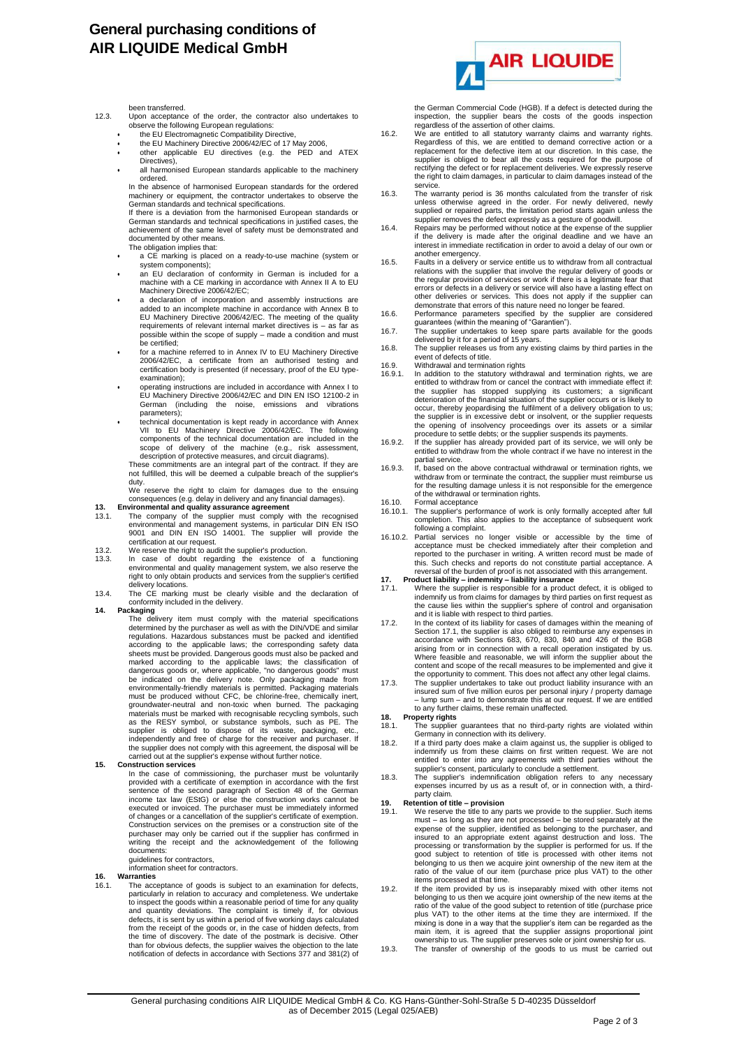# **General purchasing conditions of AIR LIQUIDE Medical GmbH**

been transferred.

- 12.3. Upon acceptance of the order, the contractor also undertakes to observe the following European regulations:
	- the EU Electromagnetic Compatibility Directive,
	- the EU Machinery Directive 2006/42/EC of 17 May 2006,
	- other applicable EU directives (e.g. the PED and ATEX Directives). all harmonised European standards applicable to the machinery
	- ordered. In the absence of harmonised European standards for the ordered machinery or equipment, the contractor undertakes to observe the

German standards and technical specifications. If there is a deviation from the harmonised European standards or German standards and technical specifications in justified cases, the achievement of the same level of safety must be demonstrated and

- documented by other means. The obligation implies that:
- a CE marking is placed on a ready-to-use machine (system or system components);
- an EU declaration of conformity in German is included for a machine with a CE marking in accordance with Annex II A to EU Machinery Directive 2006/42/EC;
- a declaration of incorporation and assembly instructions are added to an incomplete machine in accordance with Annex B to EU Machinery Directive 2006/42/EC. The meeting of the quality requirements of relevant internal market directives is – as far as possible within the scope of supply – made a condition and must be certified;
- for a machine referred to in Annex IV to EU Machinery Directive 2006/42/EC, a certificate from an authorised testing and certification body is presented (if necessary, proof of the EU typeexamination);
- operating instructions are included in accordance with Annex I to EU Machinery Directive 2006/42/EC and DIN EN ISO 12100-2 in German (including the noise, emissions and vibrations parameters);
- technical documentation is kept ready in accordance with Annex VII to EU Machinery Directive 2006/42/EC. The following components of the technical documentation are included in the scope of delivery of the machine (e.g., risk assessment, description of protective measures, and circuit diagrams). These commitments are an integral part of the contract. If they are

not fulfilled, this will be deemed a culpable breach of the supplier's duty

We reserve the right to claim for damages due to the ensuing consequences (e.g. delay in delivery and any financial damages).

- 
- **13. Environmental and quality assurance agreement**<br>13.1. The company of the supplier must comply with the recognised<br>environmental and management systems, in particular DIN EN ISO<br>9001 and DIN EN ISO 14001. The supplier w certification at our request.
- 13.2. We reserve the right to audit the supplier's production.
- 13.3. In case of doubt regarding the existence of a functioning environmental and quality management system, we also reserve the right to only obtain products and services from the supplier's certified delivery locations.
- 13.4. The CE marking must be clearly visible and the declaration of conformity included in the delivery.

14. Packaging<br>The delivery item must comply with the material specifications<br>determined by the purchaser as well as with the DIN/VDE and similar<br>regulations. Hazardous substances must be packed and identified<br>according to sheets must be provided. Dangerous goods must also be packed and<br>marked according to the applicable laws; the classification of<br>dangerous goods or, where applicable, "no dangerous goods" must<br>be indicated on the delivery n must be produced without CFC, be chlorine-free, chemically inert, groundwater-neutral and non-toxic when burned. The packaging materials must be marked with recognisable recycling symbols, such<br>as the RESY symbol, or substance symbols, such as PE. The<br>supplier is obliged to dispose of its waste, packaging, etc.,<br>independently and free of charge fo the supplier does not comply with this agreement, the disposal will be carried out at the supplier's expense without further notice.

### **15. Construction services**

In the case of commissioning, the purchaser must be voluntarily provided with a certificate of exemption in accordance with the first sentence of the second paragraph of Section 48 of the German<br>income tax law (EStG) or else the construction works cannot be<br>executed or invoiced. The purchaser must be immediately informed of changes or a cancellation of the supplier's certificate of exemption. Construction services on the premises or a construction site of the purchaser may only be carried out if the supplier has confirmed in writing the receipt and the acknowledgement of the following documents:

guidelines for contractors, information sheet for contractors.

## **16. Warranties**

16.1. The acceptance of goods is subject to an examination for defects, particularly in relation to accuracy and completeness. We undertake to inspect the goods within a reasonable period of time for any quality<br>and quantity deviations. The complaint is timely if, for obvious<br>defects, it is sent by us within a period of five working days calculated<br>from the re the time of discovery. The date of the postmark is decisive. Other<br>than for obvious defects, the supplier waives the objection to the late<br>notification of defects in accordance with Sections 377 and 381(2) of



the German Commercial Code (HGB). If a defect is detected during the inspection, the supplier bears the costs of the goods inspection regardless of the assertion of other claims.

- 16.2. We are entitled to all statutory warranty claims and warranty rights. Regardless of this, we are entitled to demand corrective action or a replacement for the defective item at our discretion. In this case, the supplier is obliged to bear all the costs required for the purpose of rectifying the defect or for replacement deliveries. We expressly reserve the right to claim damages, in particular to claim damages instead of the service.
- 16.3. The warranty period is 36 months calculated from the transfer of risk unless otherwise agreed in the order. For newly delivered, newly supplied or repaired parts, the limitation period starts again unless the
- supplier removes the defect expressly as a gesture of goodwill. 16.4. Repairs may be performed without notice at the expense of the supplier if the delivery is made after the original deadline and we have an interest in immediate rectification in order to avoid a delay of our own or
- another emergency. 16.5. Faults in a delivery or service entitle us to withdraw from all contractual relations with the supplier that involve the regular delivery of goods or the regular provision of services or work if there is a legitimate fear that errors or defects in a delivery or service will also have a lasting effect on other deliveries or services. This does not apply if the supplier can demonstrate that errors of this nature need no longer be feared.
- 16.6. Performance parameters specified by the supplier are considered
- guarantees (within the meaning of "Garantien").<br>16.7. The supplier undertakes to keep spare parts available for the goods<br>delivered by it for a period of 15 years.<br>16.8. The supplier releases us from any existing claims by
- event of defects of title.
- 
- 16.9. Withdrawal and termination rights<br>16.9.1. In addition to the statutory withdrawal and termination rights, we are<br>entitled to withdraw from or cancel the contract with immediate effect if:<br>the supplier has stopped sup deterioration of the financial situation of the supplier occurs or is likely to<br>occur, thereby jeopardising the fulfilment of a delivery obligation to us;<br>the supplier is in excessive debt or insolvent, or the supplier req the opening of insolvency proceedings over its assets or a similar procedure to settle debts; or the supplier suspends its payments.
- 16.9.2. If the supplier has already provided part of its service, we will only be entitled to withdraw from the whole contract if we have no interest in the partial service.
- 16.9.3. If, based on the above contractual withdrawal or termination rights, we withdraw from or terminate the contract, the supplier must reimburse us for the resulting damage unless it is not responsible for the emergence of the withdrawal or termination rights.
- 16.10. Formal acceptance<br>16.10.1. The supplier's perfo
- The supplier's performance of work is only formally accepted after full completion. This also applies to the acceptance of subsequent work
- following a complaint.<br>16.10.2. Partial services no longer visible or accessible by the time of<br>acceptance must be checked immediately after their completion and<br>reported to the purchaser in writing. A written record must
- 
- reversal of the burden of proof is not associated with this arrangement.<br>17. Product liability indemnity liability insurance<br>17.1. Where the supplier is responsible for a product defect, it is obliged to<br>indemnify us f the cause lies within the supplier's sphere of control and organisation and it is liable with respect to third parties.
- 17.2. In the context of its liability for cases of damages within the meaning of Section 17.1, the supplier is also obliged to reimburse any expenses in accordance with Sections 683, 670, 830, 840 and 426 of the BGB arising from or in connection with a recall operation instigated by us. Where feasible and reasonable, we will inform the supplier about the content and scope of the recall measures to be implemented and give it the opportunity to comment. This does not affect any other legal claims.
- 17.3. The supplier undertakes to take out product liability insurance with an insured sum of five million euros per personal injury / property damage – lump sum – and to demonstrate this at our request. If we are entitled to any further claims, these remain unaffected.
- 
- **18. Property rights** 18.1. The supplier guarantees that no third-party rights are violated within Germany in connection with its delivery. 18.2. If a third party does make a claim against us, the supplier is obliged to
- indemnify us from these claims on first written request. We are not entitled to enter into any agreements with third parties without the supplier's consent, particularly to conclude a settlement.
- 18.3. The supplier's indemnification obligation refers to any necessary expenses incurred by us as a result of, or in connection with, a thirdparty claim.

- **19. Retention of title – provision** We reserve the title to any parts we provide to the supplier. Such items must – as long as they are not processed – be stored separately at the expense of the supplier, identified as belonging to the purchaser, and<br>insured to an appropriate extent against destruction and loss. The<br>processing or transformation by the supplier is performed for us. If the<br>good subjec belonging to us then we acquire joint ownership of the new item at the ratio of the value of our item (purchase price plus VAT) to the other items processed at that time.
- 19.2. If the item provided by us is inseparably mixed with other items not belonging to us then we acquire joint ownership of the new items at the ratio of the value of the good subject to retention of title (purchase price plus VAT) to the other items at the time they are intermixed. If the mixing is done in a way that the supplier's item can be regarded as the<br>main item, it is agreed that the supplier assigns proportional joint<br>ownership to us. The supplier preserves sole or joint ownership for us.<br>19.3. The
-